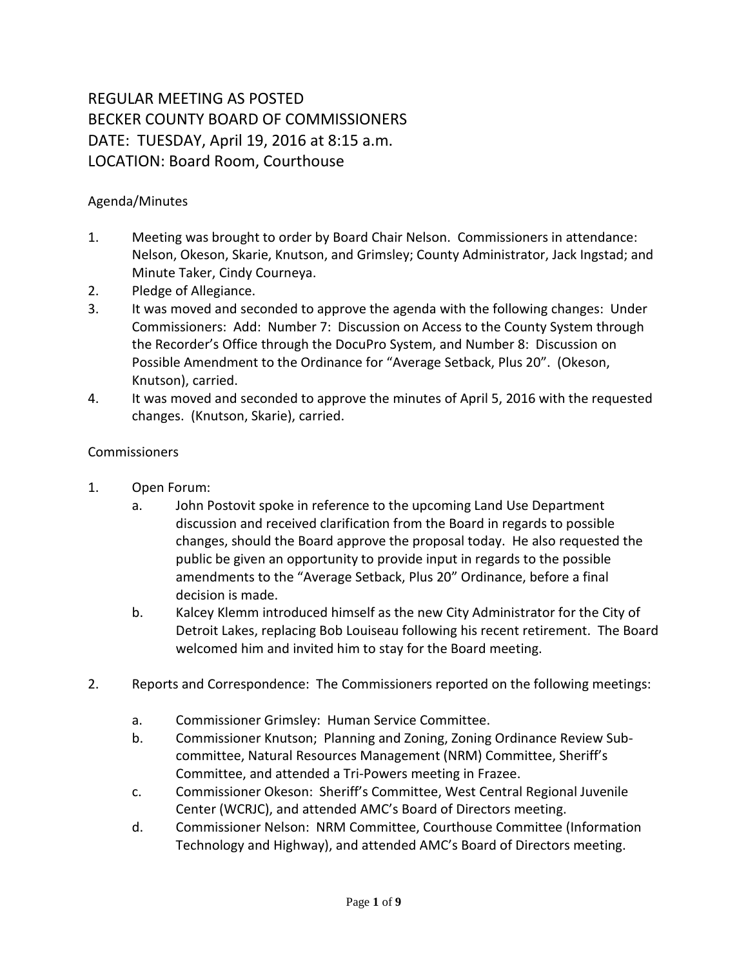## REGULAR MEETING AS POSTED BECKER COUNTY BOARD OF COMMISSIONERS DATE: TUESDAY, April 19, 2016 at 8:15 a.m. LOCATION: Board Room, Courthouse

## Agenda/Minutes

- 1. Meeting was brought to order by Board Chair Nelson. Commissioners in attendance: Nelson, Okeson, Skarie, Knutson, and Grimsley; County Administrator, Jack Ingstad; and Minute Taker, Cindy Courneya.
- 2. Pledge of Allegiance.
- 3. It was moved and seconded to approve the agenda with the following changes: Under Commissioners: Add: Number 7: Discussion on Access to the County System through the Recorder's Office through the DocuPro System, and Number 8: Discussion on Possible Amendment to the Ordinance for "Average Setback, Plus 20". (Okeson, Knutson), carried.
- 4. It was moved and seconded to approve the minutes of April 5, 2016 with the requested changes. (Knutson, Skarie), carried.

## **Commissioners**

- 1. Open Forum:
	- a. John Postovit spoke in reference to the upcoming Land Use Department discussion and received clarification from the Board in regards to possible changes, should the Board approve the proposal today. He also requested the public be given an opportunity to provide input in regards to the possible amendments to the "Average Setback, Plus 20" Ordinance, before a final decision is made.
	- b. Kalcey Klemm introduced himself as the new City Administrator for the City of Detroit Lakes, replacing Bob Louiseau following his recent retirement. The Board welcomed him and invited him to stay for the Board meeting.
- 2. Reports and Correspondence: The Commissioners reported on the following meetings:
	- a. Commissioner Grimsley: Human Service Committee.
	- b. Commissioner Knutson; Planning and Zoning, Zoning Ordinance Review Subcommittee, Natural Resources Management (NRM) Committee, Sheriff's Committee, and attended a Tri-Powers meeting in Frazee.
	- c. Commissioner Okeson: Sheriff's Committee, West Central Regional Juvenile Center (WCRJC), and attended AMC's Board of Directors meeting.
	- d. Commissioner Nelson: NRM Committee, Courthouse Committee (Information Technology and Highway), and attended AMC's Board of Directors meeting.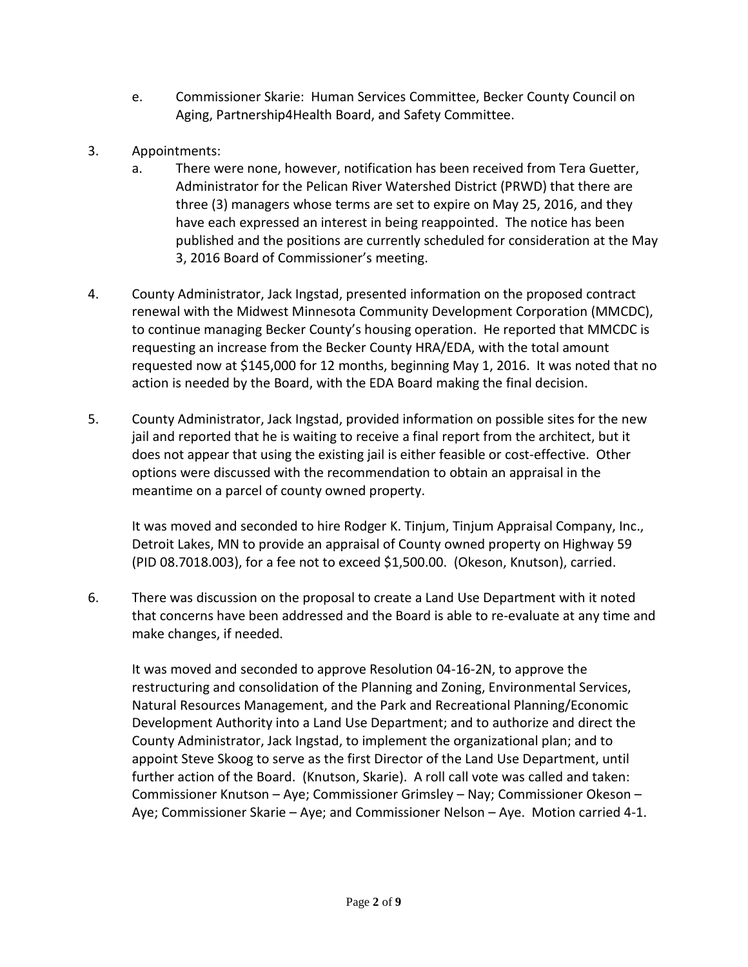- e. Commissioner Skarie: Human Services Committee, Becker County Council on Aging, Partnership4Health Board, and Safety Committee.
- 3. Appointments:
	- a. There were none, however, notification has been received from Tera Guetter, Administrator for the Pelican River Watershed District (PRWD) that there are three (3) managers whose terms are set to expire on May 25, 2016, and they have each expressed an interest in being reappointed. The notice has been published and the positions are currently scheduled for consideration at the May 3, 2016 Board of Commissioner's meeting.
- 4. County Administrator, Jack Ingstad, presented information on the proposed contract renewal with the Midwest Minnesota Community Development Corporation (MMCDC), to continue managing Becker County's housing operation. He reported that MMCDC is requesting an increase from the Becker County HRA/EDA, with the total amount requested now at \$145,000 for 12 months, beginning May 1, 2016. It was noted that no action is needed by the Board, with the EDA Board making the final decision.
- 5. County Administrator, Jack Ingstad, provided information on possible sites for the new jail and reported that he is waiting to receive a final report from the architect, but it does not appear that using the existing jail is either feasible or cost-effective. Other options were discussed with the recommendation to obtain an appraisal in the meantime on a parcel of county owned property.

It was moved and seconded to hire Rodger K. Tinjum, Tinjum Appraisal Company, Inc., Detroit Lakes, MN to provide an appraisal of County owned property on Highway 59 (PID 08.7018.003), for a fee not to exceed \$1,500.00. (Okeson, Knutson), carried.

6. There was discussion on the proposal to create a Land Use Department with it noted that concerns have been addressed and the Board is able to re-evaluate at any time and make changes, if needed.

It was moved and seconded to approve Resolution 04-16-2N, to approve the restructuring and consolidation of the Planning and Zoning, Environmental Services, Natural Resources Management, and the Park and Recreational Planning/Economic Development Authority into a Land Use Department; and to authorize and direct the County Administrator, Jack Ingstad, to implement the organizational plan; and to appoint Steve Skoog to serve as the first Director of the Land Use Department, until further action of the Board. (Knutson, Skarie). A roll call vote was called and taken: Commissioner Knutson – Aye; Commissioner Grimsley – Nay; Commissioner Okeson – Aye; Commissioner Skarie – Aye; and Commissioner Nelson – Aye. Motion carried 4-1.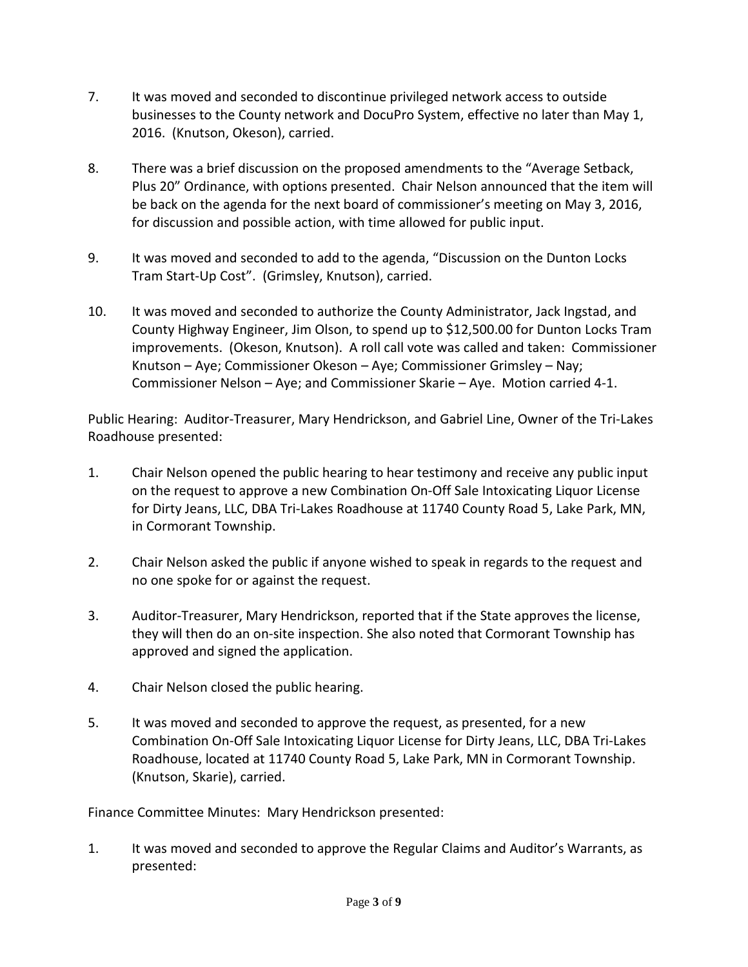- 7. It was moved and seconded to discontinue privileged network access to outside businesses to the County network and DocuPro System, effective no later than May 1, 2016. (Knutson, Okeson), carried.
- 8. There was a brief discussion on the proposed amendments to the "Average Setback, Plus 20" Ordinance, with options presented. Chair Nelson announced that the item will be back on the agenda for the next board of commissioner's meeting on May 3, 2016, for discussion and possible action, with time allowed for public input.
- 9. It was moved and seconded to add to the agenda, "Discussion on the Dunton Locks Tram Start-Up Cost". (Grimsley, Knutson), carried.
- 10. It was moved and seconded to authorize the County Administrator, Jack Ingstad, and County Highway Engineer, Jim Olson, to spend up to \$12,500.00 for Dunton Locks Tram improvements. (Okeson, Knutson). A roll call vote was called and taken: Commissioner Knutson – Aye; Commissioner Okeson – Aye; Commissioner Grimsley – Nay; Commissioner Nelson – Aye; and Commissioner Skarie – Aye. Motion carried 4-1.

Public Hearing: Auditor-Treasurer, Mary Hendrickson, and Gabriel Line, Owner of the Tri-Lakes Roadhouse presented:

- 1. Chair Nelson opened the public hearing to hear testimony and receive any public input on the request to approve a new Combination On-Off Sale Intoxicating Liquor License for Dirty Jeans, LLC, DBA Tri-Lakes Roadhouse at 11740 County Road 5, Lake Park, MN, in Cormorant Township.
- 2. Chair Nelson asked the public if anyone wished to speak in regards to the request and no one spoke for or against the request.
- 3. Auditor-Treasurer, Mary Hendrickson, reported that if the State approves the license, they will then do an on-site inspection. She also noted that Cormorant Township has approved and signed the application.
- 4. Chair Nelson closed the public hearing.
- 5. It was moved and seconded to approve the request, as presented, for a new Combination On-Off Sale Intoxicating Liquor License for Dirty Jeans, LLC, DBA Tri-Lakes Roadhouse, located at 11740 County Road 5, Lake Park, MN in Cormorant Township. (Knutson, Skarie), carried.

Finance Committee Minutes: Mary Hendrickson presented:

1. It was moved and seconded to approve the Regular Claims and Auditor's Warrants, as presented: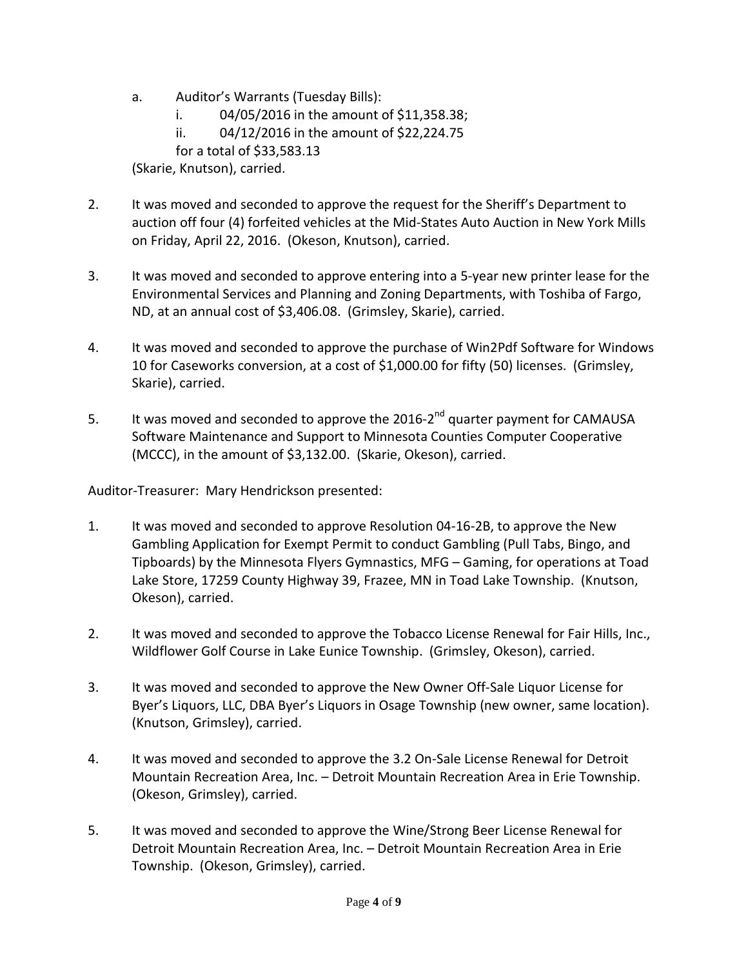a. Auditor's Warrants (Tuesday Bills):

i. 04/05/2016 in the amount of \$11,358.38;

ii. 04/12/2016 in the amount of \$22,224.75

for a total of \$33,583.13

(Skarie, Knutson), carried.

- 2. It was moved and seconded to approve the request for the Sheriff's Department to auction off four (4) forfeited vehicles at the Mid-States Auto Auction in New York Mills on Friday, April 22, 2016. (Okeson, Knutson), carried.
- 3. It was moved and seconded to approve entering into a 5-year new printer lease for the Environmental Services and Planning and Zoning Departments, with Toshiba of Fargo, ND, at an annual cost of \$3,406.08. (Grimsley, Skarie), carried.
- 4. It was moved and seconded to approve the purchase of Win2Pdf Software for Windows 10 for Caseworks conversion, at a cost of \$1,000.00 for fifty (50) licenses. (Grimsley, Skarie), carried.
- 5. It was moved and seconded to approve the  $2016-2^{nd}$  quarter payment for CAMAUSA Software Maintenance and Support to Minnesota Counties Computer Cooperative (MCCC), in the amount of \$3,132.00. (Skarie, Okeson), carried.

Auditor-Treasurer: Mary Hendrickson presented:

- 1. It was moved and seconded to approve Resolution 04-16-2B, to approve the New Gambling Application for Exempt Permit to conduct Gambling (Pull Tabs, Bingo, and Tipboards) by the Minnesota Flyers Gymnastics, MFG – Gaming, for operations at Toad Lake Store, 17259 County Highway 39, Frazee, MN in Toad Lake Township. (Knutson, Okeson), carried.
- 2. It was moved and seconded to approve the Tobacco License Renewal for Fair Hills, Inc., Wildflower Golf Course in Lake Eunice Township. (Grimsley, Okeson), carried.
- 3. It was moved and seconded to approve the New Owner Off-Sale Liquor License for Byer's Liquors, LLC, DBA Byer's Liquors in Osage Township (new owner, same location). (Knutson, Grimsley), carried.
- 4. It was moved and seconded to approve the 3.2 On-Sale License Renewal for Detroit Mountain Recreation Area, Inc. – Detroit Mountain Recreation Area in Erie Township. (Okeson, Grimsley), carried.
- 5. It was moved and seconded to approve the Wine/Strong Beer License Renewal for Detroit Mountain Recreation Area, Inc. – Detroit Mountain Recreation Area in Erie Township. (Okeson, Grimsley), carried.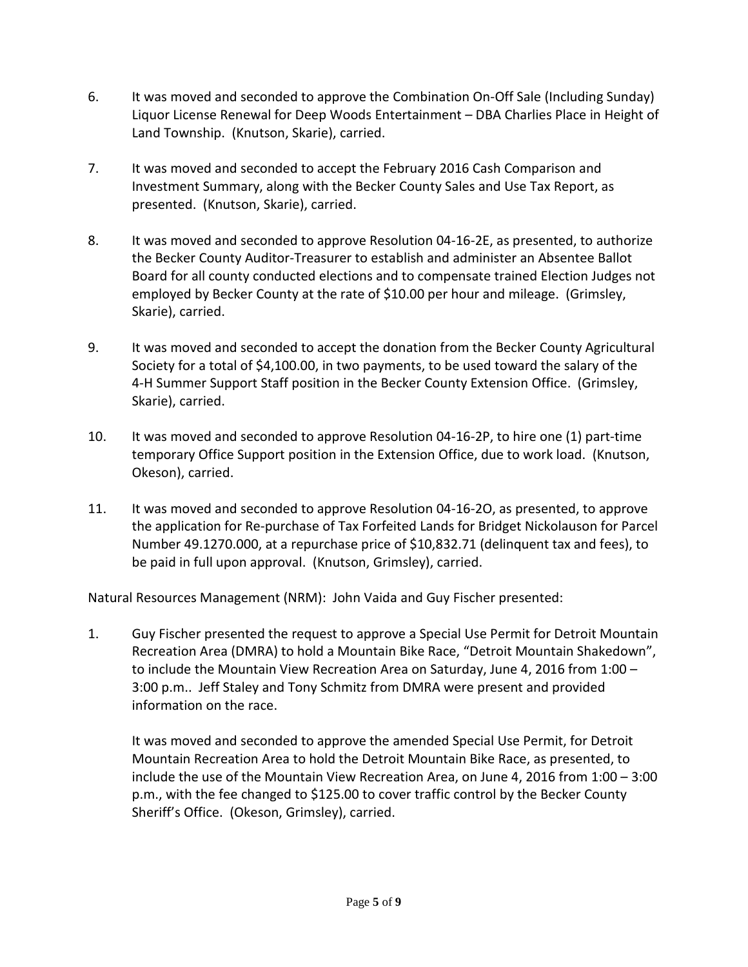- 6. It was moved and seconded to approve the Combination On-Off Sale (Including Sunday) Liquor License Renewal for Deep Woods Entertainment – DBA Charlies Place in Height of Land Township. (Knutson, Skarie), carried.
- 7. It was moved and seconded to accept the February 2016 Cash Comparison and Investment Summary, along with the Becker County Sales and Use Tax Report, as presented. (Knutson, Skarie), carried.
- 8. It was moved and seconded to approve Resolution 04-16-2E, as presented, to authorize the Becker County Auditor-Treasurer to establish and administer an Absentee Ballot Board for all county conducted elections and to compensate trained Election Judges not employed by Becker County at the rate of \$10.00 per hour and mileage. (Grimsley, Skarie), carried.
- 9. It was moved and seconded to accept the donation from the Becker County Agricultural Society for a total of \$4,100.00, in two payments, to be used toward the salary of the 4-H Summer Support Staff position in the Becker County Extension Office. (Grimsley, Skarie), carried.
- 10. It was moved and seconded to approve Resolution 04-16-2P, to hire one (1) part-time temporary Office Support position in the Extension Office, due to work load. (Knutson, Okeson), carried.
- 11. It was moved and seconded to approve Resolution 04-16-2O, as presented, to approve the application for Re-purchase of Tax Forfeited Lands for Bridget Nickolauson for Parcel Number 49.1270.000, at a repurchase price of \$10,832.71 (delinquent tax and fees), to be paid in full upon approval. (Knutson, Grimsley), carried.

Natural Resources Management (NRM): John Vaida and Guy Fischer presented:

1. Guy Fischer presented the request to approve a Special Use Permit for Detroit Mountain Recreation Area (DMRA) to hold a Mountain Bike Race, "Detroit Mountain Shakedown", to include the Mountain View Recreation Area on Saturday, June 4, 2016 from 1:00 – 3:00 p.m.. Jeff Staley and Tony Schmitz from DMRA were present and provided information on the race.

It was moved and seconded to approve the amended Special Use Permit, for Detroit Mountain Recreation Area to hold the Detroit Mountain Bike Race, as presented, to include the use of the Mountain View Recreation Area, on June 4, 2016 from 1:00 – 3:00 p.m., with the fee changed to \$125.00 to cover traffic control by the Becker County Sheriff's Office. (Okeson, Grimsley), carried.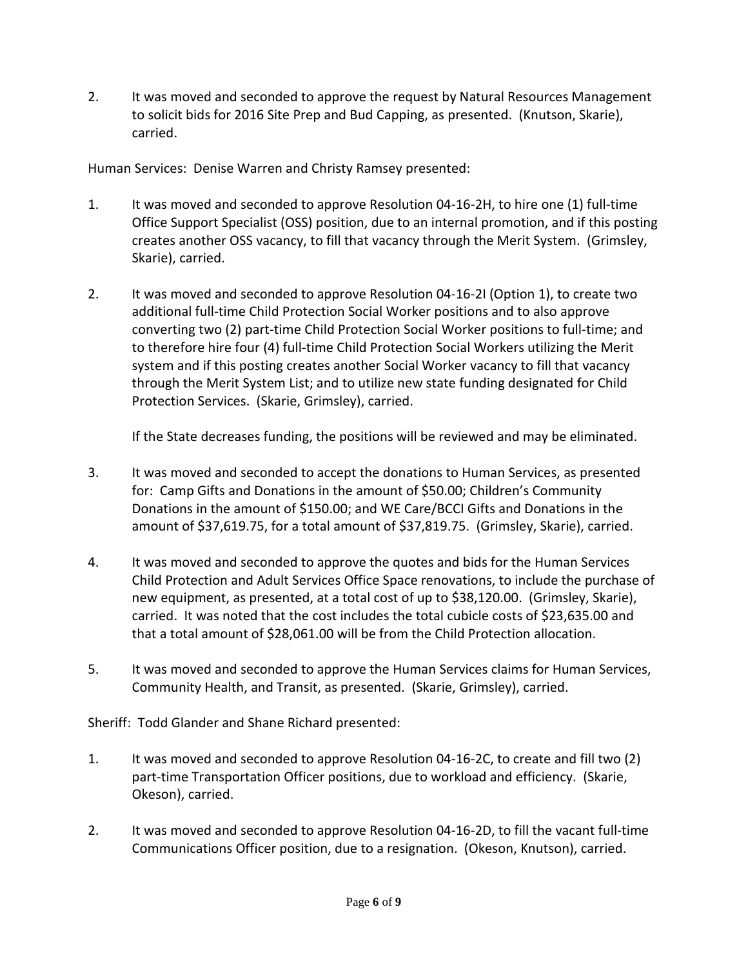2. It was moved and seconded to approve the request by Natural Resources Management to solicit bids for 2016 Site Prep and Bud Capping, as presented. (Knutson, Skarie), carried.

Human Services: Denise Warren and Christy Ramsey presented:

- 1. It was moved and seconded to approve Resolution 04-16-2H, to hire one (1) full-time Office Support Specialist (OSS) position, due to an internal promotion, and if this posting creates another OSS vacancy, to fill that vacancy through the Merit System. (Grimsley, Skarie), carried.
- 2. It was moved and seconded to approve Resolution 04-16-2I (Option 1), to create two additional full-time Child Protection Social Worker positions and to also approve converting two (2) part-time Child Protection Social Worker positions to full-time; and to therefore hire four (4) full-time Child Protection Social Workers utilizing the Merit system and if this posting creates another Social Worker vacancy to fill that vacancy through the Merit System List; and to utilize new state funding designated for Child Protection Services. (Skarie, Grimsley), carried.

If the State decreases funding, the positions will be reviewed and may be eliminated.

- 3. It was moved and seconded to accept the donations to Human Services, as presented for: Camp Gifts and Donations in the amount of \$50.00; Children's Community Donations in the amount of \$150.00; and WE Care/BCCI Gifts and Donations in the amount of \$37,619.75, for a total amount of \$37,819.75. (Grimsley, Skarie), carried.
- 4. It was moved and seconded to approve the quotes and bids for the Human Services Child Protection and Adult Services Office Space renovations, to include the purchase of new equipment, as presented, at a total cost of up to \$38,120.00. (Grimsley, Skarie), carried. It was noted that the cost includes the total cubicle costs of \$23,635.00 and that a total amount of \$28,061.00 will be from the Child Protection allocation.
- 5. It was moved and seconded to approve the Human Services claims for Human Services, Community Health, and Transit, as presented. (Skarie, Grimsley), carried.

Sheriff: Todd Glander and Shane Richard presented:

- 1. It was moved and seconded to approve Resolution 04-16-2C, to create and fill two (2) part-time Transportation Officer positions, due to workload and efficiency. (Skarie, Okeson), carried.
- 2. It was moved and seconded to approve Resolution 04-16-2D, to fill the vacant full-time Communications Officer position, due to a resignation. (Okeson, Knutson), carried.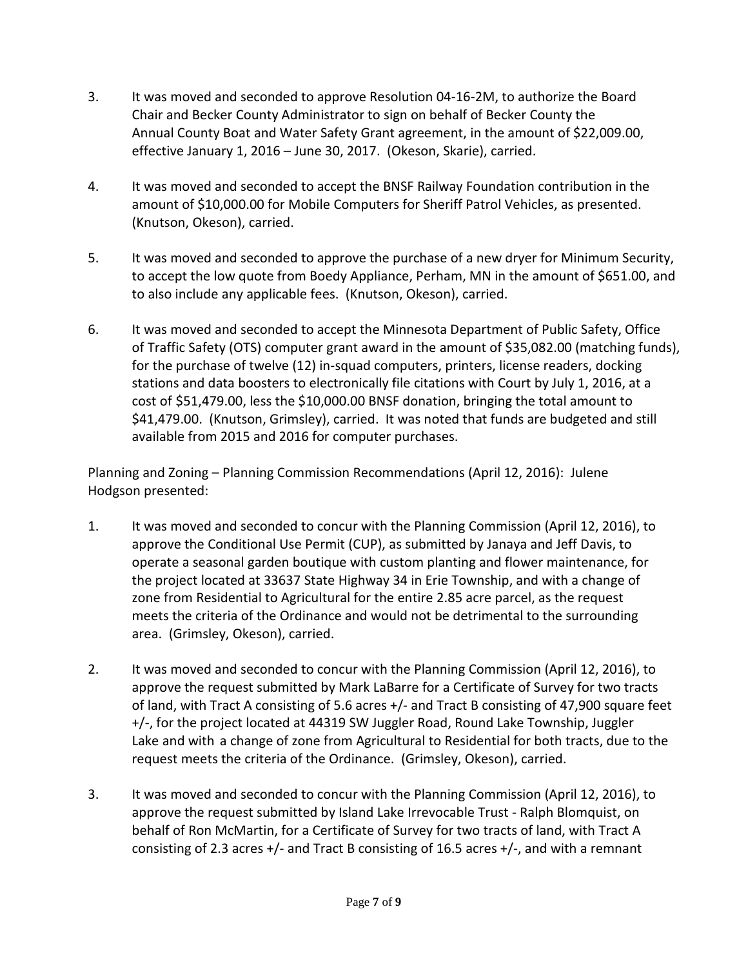- 3. It was moved and seconded to approve Resolution 04-16-2M, to authorize the Board Chair and Becker County Administrator to sign on behalf of Becker County the Annual County Boat and Water Safety Grant agreement, in the amount of \$22,009.00, effective January 1, 2016 – June 30, 2017. (Okeson, Skarie), carried.
- 4. It was moved and seconded to accept the BNSF Railway Foundation contribution in the amount of \$10,000.00 for Mobile Computers for Sheriff Patrol Vehicles, as presented. (Knutson, Okeson), carried.
- 5. It was moved and seconded to approve the purchase of a new dryer for Minimum Security, to accept the low quote from Boedy Appliance, Perham, MN in the amount of \$651.00, and to also include any applicable fees. (Knutson, Okeson), carried.
- 6. It was moved and seconded to accept the Minnesota Department of Public Safety, Office of Traffic Safety (OTS) computer grant award in the amount of \$35,082.00 (matching funds), for the purchase of twelve (12) in-squad computers, printers, license readers, docking stations and data boosters to electronically file citations with Court by July 1, 2016, at a cost of \$51,479.00, less the \$10,000.00 BNSF donation, bringing the total amount to \$41,479.00. (Knutson, Grimsley), carried. It was noted that funds are budgeted and still available from 2015 and 2016 for computer purchases.

Planning and Zoning – Planning Commission Recommendations (April 12, 2016): Julene Hodgson presented:

- 1. It was moved and seconded to concur with the Planning Commission (April 12, 2016), to approve the Conditional Use Permit (CUP), as submitted by Janaya and Jeff Davis, to operate a seasonal garden boutique with custom planting and flower maintenance, for the project located at 33637 State Highway 34 in Erie Township, and with a change of zone from Residential to Agricultural for the entire 2.85 acre parcel, as the request meets the criteria of the Ordinance and would not be detrimental to the surrounding area. (Grimsley, Okeson), carried.
- 2. It was moved and seconded to concur with the Planning Commission (April 12, 2016), to approve the request submitted by Mark LaBarre for a Certificate of Survey for two tracts of land, with Tract A consisting of 5.6 acres +/- and Tract B consisting of 47,900 square feet +/-, for the project located at 44319 SW Juggler Road, Round Lake Township, Juggler Lake and with a change of zone from Agricultural to Residential for both tracts, due to the request meets the criteria of the Ordinance. (Grimsley, Okeson), carried.
- 3. It was moved and seconded to concur with the Planning Commission (April 12, 2016), to approve the request submitted by Island Lake Irrevocable Trust - Ralph Blomquist, on behalf of Ron McMartin, for a Certificate of Survey for two tracts of land, with Tract A consisting of 2.3 acres  $+/-$  and Tract B consisting of 16.5 acres  $+/-$ , and with a remnant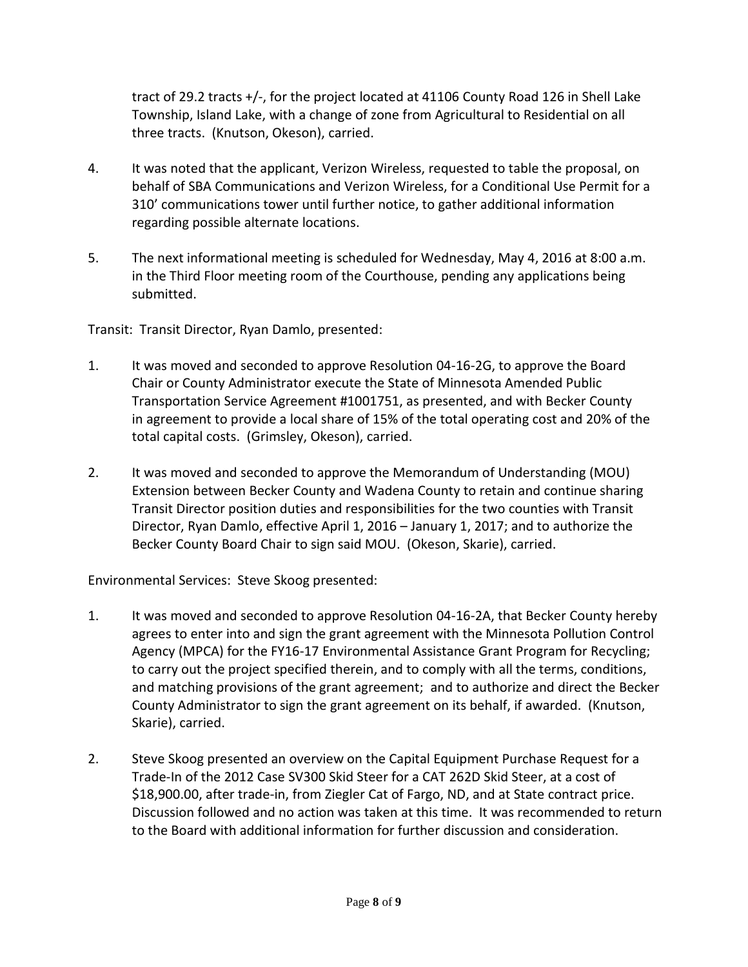tract of 29.2 tracts +/-, for the project located at 41106 County Road 126 in Shell Lake Township, Island Lake, with a change of zone from Agricultural to Residential on all three tracts. (Knutson, Okeson), carried.

- 4. It was noted that the applicant, Verizon Wireless, requested to table the proposal, on behalf of SBA Communications and Verizon Wireless, for a Conditional Use Permit for a 310' communications tower until further notice, to gather additional information regarding possible alternate locations.
- 5. The next informational meeting is scheduled for Wednesday, May 4, 2016 at 8:00 a.m. in the Third Floor meeting room of the Courthouse, pending any applications being submitted.

Transit: Transit Director, Ryan Damlo, presented:

- 1. It was moved and seconded to approve Resolution 04-16-2G, to approve the Board Chair or County Administrator execute the State of Minnesota Amended Public Transportation Service Agreement #1001751, as presented, and with Becker County in agreement to provide a local share of 15% of the total operating cost and 20% of the total capital costs. (Grimsley, Okeson), carried.
- 2. It was moved and seconded to approve the Memorandum of Understanding (MOU) Extension between Becker County and Wadena County to retain and continue sharing Transit Director position duties and responsibilities for the two counties with Transit Director, Ryan Damlo, effective April 1, 2016 – January 1, 2017; and to authorize the Becker County Board Chair to sign said MOU. (Okeson, Skarie), carried.

Environmental Services: Steve Skoog presented:

- 1. It was moved and seconded to approve Resolution 04-16-2A, that Becker County hereby agrees to enter into and sign the grant agreement with the Minnesota Pollution Control Agency (MPCA) for the FY16-17 Environmental Assistance Grant Program for Recycling; to carry out the project specified therein, and to comply with all the terms, conditions, and matching provisions of the grant agreement; and to authorize and direct the Becker County Administrator to sign the grant agreement on its behalf, if awarded. (Knutson, Skarie), carried.
- 2. Steve Skoog presented an overview on the Capital Equipment Purchase Request for a Trade-In of the 2012 Case SV300 Skid Steer for a CAT 262D Skid Steer, at a cost of \$18,900.00, after trade-in, from Ziegler Cat of Fargo, ND, and at State contract price. Discussion followed and no action was taken at this time. It was recommended to return to the Board with additional information for further discussion and consideration.